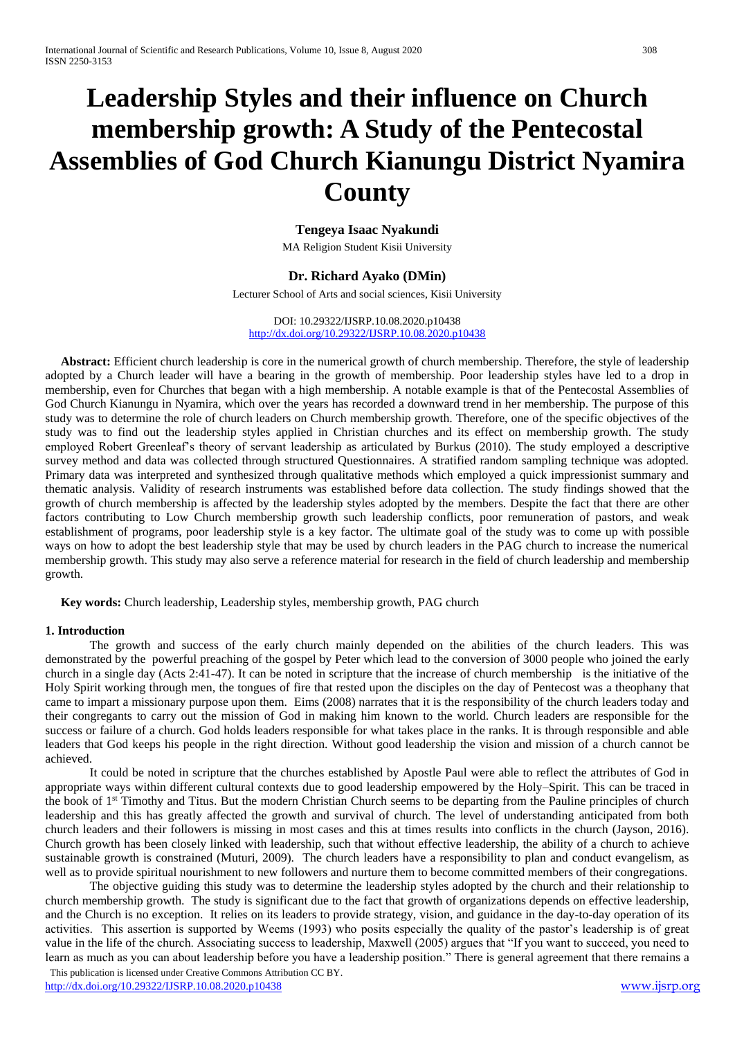# **Leadership Styles and their influence on Church membership growth: A Study of the Pentecostal Assemblies of God Church Kianungu District Nyamira County**

# **Tengeya Isaac Nyakundi**

MA Religion Student Kisii University

# **Dr. Richard Ayako (DMin)**

Lecturer School of Arts and social sciences, Kisii University

#### DOI: 10.29322/IJSRP.10.08.2020.p10438 <http://dx.doi.org/10.29322/IJSRP.10.08.2020.p10438>

 **Abstract:** Efficient church leadership is core in the numerical growth of church membership. Therefore, the style of leadership adopted by a Church leader will have a bearing in the growth of membership. Poor leadership styles have led to a drop in membership, even for Churches that began with a high membership. A notable example is that of the Pentecostal Assemblies of God Church Kianungu in Nyamira, which over the years has recorded a downward trend in her membership. The purpose of this study was to determine the role of church leaders on Church membership growth. Therefore, one of the specific objectives of the study was to find out the leadership styles applied in Christian churches and its effect on membership growth. The study employed Robert Greenleaf's theory of servant leadership as articulated by Burkus (2010). The study employed a descriptive survey method and data was collected through structured Questionnaires. A stratified random sampling technique was adopted. Primary data was interpreted and synthesized through qualitative methods which employed a quick impressionist summary and thematic analysis. Validity of research instruments was established before data collection. The study findings showed that the growth of church membership is affected by the leadership styles adopted by the members. Despite the fact that there are other factors contributing to Low Church membership growth such leadership conflicts, poor remuneration of pastors, and weak establishment of programs, poor leadership style is a key factor. The ultimate goal of the study was to come up with possible ways on how to adopt the best leadership style that may be used by church leaders in the PAG church to increase the numerical membership growth. This study may also serve a reference material for research in the field of church leadership and membership growth.

 **Key words:** Church leadership, Leadership styles, membership growth, PAG church

## **1. Introduction**

The growth and success of the early church mainly depended on the abilities of the church leaders. This was demonstrated by the powerful preaching of the gospel by Peter which lead to the conversion of 3000 people who joined the early church in a single day (Acts 2:41-47). It can be noted in scripture that the increase of church membership is the initiative of the Holy Spirit working through men, the tongues of fire that rested upon the disciples on the day of Pentecost was a theophany that came to impart a missionary purpose upon them. Eims (2008) narrates that it is the responsibility of the church leaders today and their congregants to carry out the mission of God in making him known to the world. Church leaders are responsible for the success or failure of a church. God holds leaders responsible for what takes place in the ranks. It is through responsible and able leaders that God keeps his people in the right direction. Without good leadership the vision and mission of a church cannot be achieved.

It could be noted in scripture that the churches established by Apostle Paul were able to reflect the attributes of God in appropriate ways within different cultural contexts due to good leadership empowered by the Holy–Spirit. This can be traced in the book of 1<sup>st</sup> Timothy and Titus. But the modern Christian Church seems to be departing from the Pauline principles of church leadership and this has greatly affected the growth and survival of church. The level of understanding anticipated from both church leaders and their followers is missing in most cases and this at times results into conflicts in the church (Jayson, 2016). Church growth has been closely linked with leadership, such that without effective leadership, the ability of a church to achieve sustainable growth is constrained (Muturi, 2009). The church leaders have a responsibility to plan and conduct evangelism, as well as to provide spiritual nourishment to new followers and nurture them to become committed members of their congregations.

The objective guiding this study was to determine the leadership styles adopted by the church and their relationship to church membership growth. The study is significant due to the fact that growth of organizations depends on effective leadership, and the Church is no exception. It relies on its leaders to provide strategy, vision, and guidance in the day-to-day operation of its activities. This assertion is supported by Weems (1993) who posits especially the quality of the pastor's leadership is of great value in the life of the church. Associating success to leadership, Maxwell (2005) argues that "If you want to succeed, you need to learn as much as you can about leadership before you have a leadership position." There is general agreement that there remains a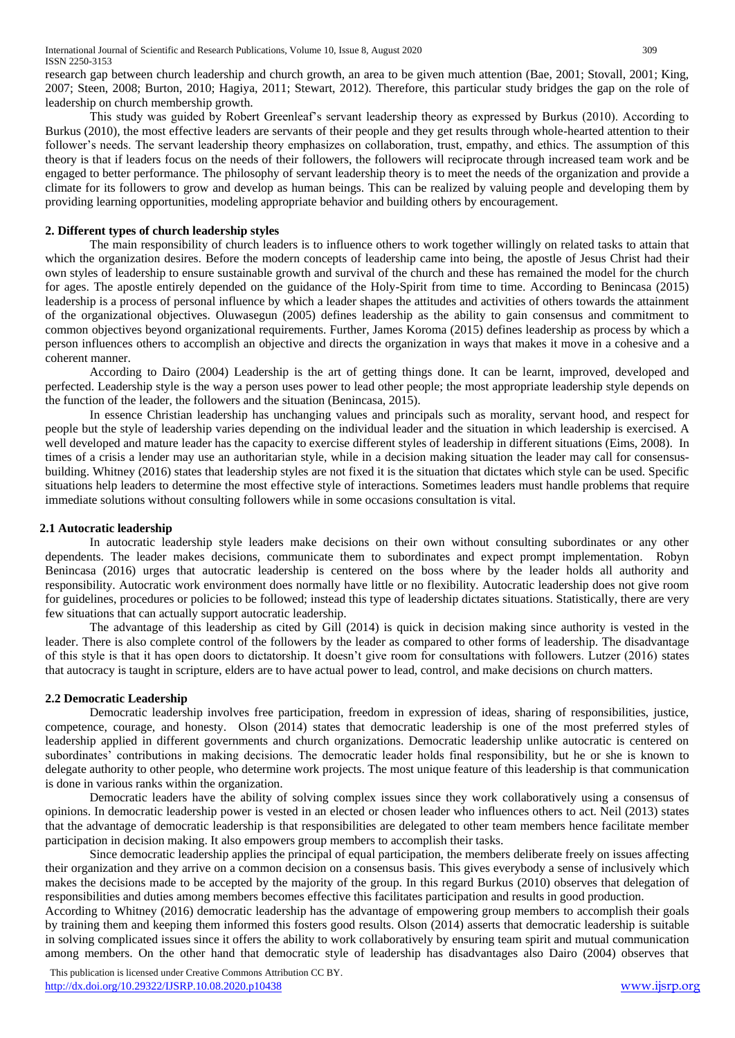research gap between church leadership and church growth, an area to be given much attention (Bae, 2001; Stovall, 2001; King, 2007; Steen, 2008; Burton, 2010; Hagiya, 2011; Stewart, 2012). Therefore, this particular study bridges the gap on the role of leadership on church membership growth.

This study was guided by Robert Greenleaf's servant leadership theory as expressed by Burkus (2010). According to Burkus (2010), the most effective leaders are servants of their people and they get results through whole-hearted attention to their follower's needs. The servant leadership theory emphasizes on collaboration, trust, empathy, and ethics. The assumption of this theory is that if leaders focus on the needs of their followers, the followers will reciprocate through increased team work and be engaged to better performance. The philosophy of servant leadership theory is to meet the needs of the organization and provide a climate for its followers to grow and develop as human beings. This can be realized by valuing people and developing them by providing learning opportunities, modeling appropriate behavior and building others by encouragement.

## **2. Different types of church leadership styles**

The main responsibility of church leaders is to influence others to work together willingly on related tasks to attain that which the organization desires. Before the modern concepts of leadership came into being, the apostle of Jesus Christ had their own styles of leadership to ensure sustainable growth and survival of the church and these has remained the model for the church for ages. The apostle entirely depended on the guidance of the Holy-Spirit from time to time. According to Benincasa (2015) leadership is a process of personal influence by which a leader shapes the attitudes and activities of others towards the attainment of the organizational objectives. Oluwasegun (2005) defines leadership as the ability to gain consensus and commitment to common objectives beyond organizational requirements. Further, James Koroma (2015) defines leadership as process by which a person influences others to accomplish an objective and directs the organization in ways that makes it move in a cohesive and a coherent manner.

According to Dairo (2004) Leadership is the art of getting things done. It can be learnt, improved, developed and perfected. Leadership style is the way a person uses power to lead other people; the most appropriate leadership style depends on the function of the leader, the followers and the situation (Benincasa, 2015).

In essence Christian leadership has unchanging values and principals such as morality, servant hood, and respect for people but the style of leadership varies depending on the individual leader and the situation in which leadership is exercised. A well developed and mature leader has the capacity to exercise different styles of leadership in different situations (Eims, 2008). In times of a crisis a lender may use an authoritarian style, while in a decision making situation the leader may call for consensusbuilding. Whitney (2016) states that leadership styles are not fixed it is the situation that dictates which style can be used. Specific situations help leaders to determine the most effective style of interactions. Sometimes leaders must handle problems that require immediate solutions without consulting followers while in some occasions consultation is vital.

## **2.1 Autocratic leadership**

In autocratic leadership style leaders make decisions on their own without consulting subordinates or any other dependents. The leader makes decisions, communicate them to subordinates and expect prompt implementation. Robyn Benincasa (2016) urges that autocratic leadership is centered on the boss where by the leader holds all authority and responsibility. Autocratic work environment does normally have little or no flexibility. Autocratic leadership does not give room for guidelines, procedures or policies to be followed; instead this type of leadership dictates situations. Statistically, there are very few situations that can actually support autocratic leadership.

The advantage of this leadership as cited by Gill (2014) is quick in decision making since authority is vested in the leader. There is also complete control of the followers by the leader as compared to other forms of leadership. The disadvantage of this style is that it has open doors to dictatorship. It doesn't give room for consultations with followers. Lutzer (2016) states that autocracy is taught in scripture, elders are to have actual power to lead, control, and make decisions on church matters.

# **2.2 Democratic Leadership**

Democratic leadership involves free participation, freedom in expression of ideas, sharing of responsibilities, justice, competence, courage, and honesty. Olson (2014) states that democratic leadership is one of the most preferred styles of leadership applied in different governments and church organizations. Democratic leadership unlike autocratic is centered on subordinates' contributions in making decisions. The democratic leader holds final responsibility, but he or she is known to delegate authority to other people, who determine work projects. The most unique feature of this leadership is that communication is done in various ranks within the organization.

Democratic leaders have the ability of solving complex issues since they work collaboratively using a consensus of opinions. In democratic leadership power is vested in an elected or chosen leader who influences others to act. Neil (2013) states that the advantage of democratic leadership is that responsibilities are delegated to other team members hence facilitate member participation in decision making. It also empowers group members to accomplish their tasks.

Since democratic leadership applies the principal of equal participation, the members deliberate freely on issues affecting their organization and they arrive on a common decision on a consensus basis. This gives everybody a sense of inclusively which makes the decisions made to be accepted by the majority of the group. In this regard Burkus (2010) observes that delegation of responsibilities and duties among members becomes effective this facilitates participation and results in good production.

According to Whitney (2016) democratic leadership has the advantage of empowering group members to accomplish their goals by training them and keeping them informed this fosters good results. Olson (2014) asserts that democratic leadership is suitable in solving complicated issues since it offers the ability to work collaboratively by ensuring team spirit and mutual communication among members. On the other hand that democratic style of leadership has disadvantages also Dairo (2004) observes that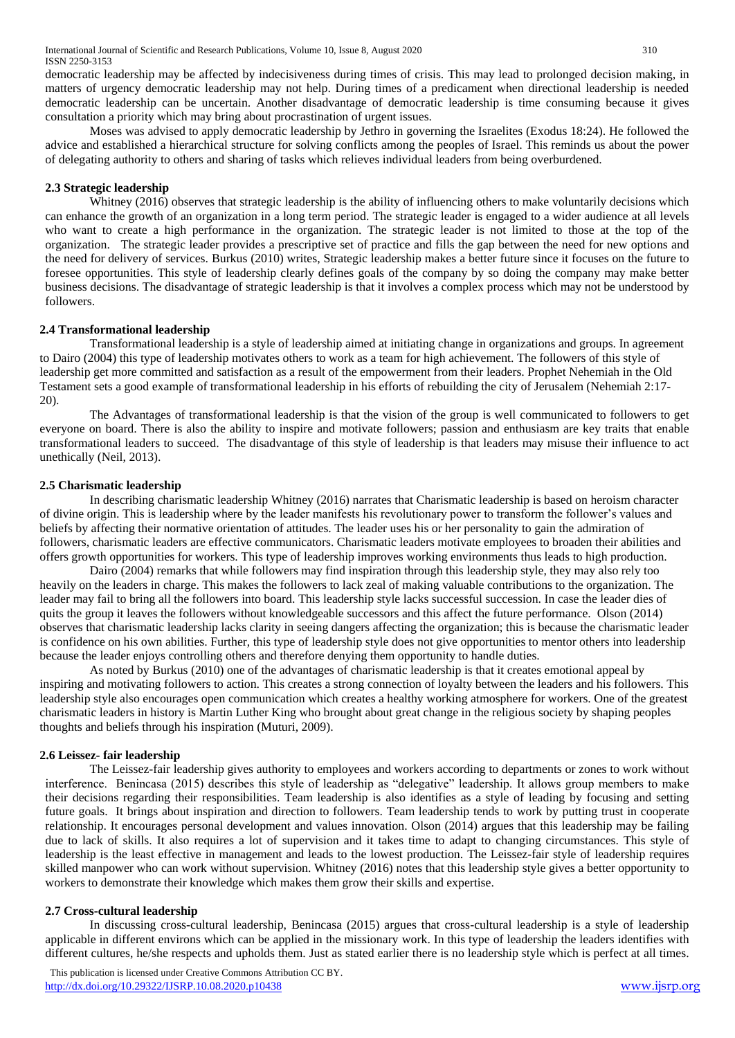democratic leadership may be affected by indecisiveness during times of crisis. This may lead to prolonged decision making, in matters of urgency democratic leadership may not help. During times of a predicament when directional leadership is needed democratic leadership can be uncertain. Another disadvantage of democratic leadership is time consuming because it gives consultation a priority which may bring about procrastination of urgent issues.

Moses was advised to apply democratic leadership by Jethro in governing the Israelites (Exodus 18:24). He followed the advice and established a hierarchical structure for solving conflicts among the peoples of Israel. This reminds us about the power of delegating authority to others and sharing of tasks which relieves individual leaders from being overburdened.

#### **2.3 Strategic leadership**

Whitney (2016) observes that strategic leadership is the ability of influencing others to make voluntarily decisions which can enhance the growth of an organization in a long term period. The strategic leader is engaged to a wider audience at all levels who want to create a high performance in the organization. The strategic leader is not limited to those at the top of the organization. The strategic leader provides a prescriptive set of practice and fills the gap between the need for new options and the need for delivery of services. Burkus (2010) writes, Strategic leadership makes a better future since it focuses on the future to foresee opportunities. This style of leadership clearly defines goals of the company by so doing the company may make better business decisions. The disadvantage of strategic leadership is that it involves a complex process which may not be understood by followers.

## **2.4 Transformational leadership**

Transformational leadership is a style of leadership aimed at initiating change in organizations and groups. In agreement to Dairo (2004) this type of leadership motivates others to work as a team for high achievement. The followers of this style of leadership get more committed and satisfaction as a result of the empowerment from their leaders. Prophet Nehemiah in the Old Testament sets a good example of transformational leadership in his efforts of rebuilding the city of Jerusalem (Nehemiah 2:17- 20).

The Advantages of transformational leadership is that the vision of the group is well communicated to followers to get everyone on board. There is also the ability to inspire and motivate followers; passion and enthusiasm are key traits that enable transformational leaders to succeed. The disadvantage of this style of leadership is that leaders may misuse their influence to act unethically (Neil, 2013).

#### **2.5 Charismatic leadership**

In describing charismatic leadership Whitney (2016) narrates that Charismatic leadership is based on heroism character of divine origin. This is leadership where by the leader manifests his revolutionary power to transform the follower's values and beliefs by affecting their normative orientation of attitudes. The leader uses his or her personality to gain the admiration of followers, charismatic leaders are effective communicators. Charismatic leaders motivate employees to broaden their abilities and offers growth opportunities for workers. This type of leadership improves working environments thus leads to high production.

Dairo (2004) remarks that while followers may find inspiration through this leadership style, they may also rely too heavily on the leaders in charge. This makes the followers to lack zeal of making valuable contributions to the organization. The leader may fail to bring all the followers into board. This leadership style lacks successful succession. In case the leader dies of quits the group it leaves the followers without knowledgeable successors and this affect the future performance. Olson (2014) observes that charismatic leadership lacks clarity in seeing dangers affecting the organization; this is because the charismatic leader is confidence on his own abilities. Further, this type of leadership style does not give opportunities to mentor others into leadership because the leader enjoys controlling others and therefore denying them opportunity to handle duties.

As noted by Burkus (2010) one of the advantages of charismatic leadership is that it creates emotional appeal by inspiring and motivating followers to action. This creates a strong connection of loyalty between the leaders and his followers. This leadership style also encourages open communication which creates a healthy working atmosphere for workers. One of the greatest charismatic leaders in history is Martin Luther King who brought about great change in the religious society by shaping peoples thoughts and beliefs through his inspiration (Muturi, 2009).

## **2.6 Leissez- fair leadership**

The Leissez-fair leadership gives authority to employees and workers according to departments or zones to work without interference. Benincasa (2015) describes this style of leadership as "delegative" leadership. It allows group members to make their decisions regarding their responsibilities. Team leadership is also identifies as a style of leading by focusing and setting future goals. It brings about inspiration and direction to followers. Team leadership tends to work by putting trust in cooperate relationship. It encourages personal development and values innovation. Olson (2014) argues that this leadership may be failing due to lack of skills. It also requires a lot of supervision and it takes time to adapt to changing circumstances. This style of leadership is the least effective in management and leads to the lowest production. The Leissez-fair style of leadership requires skilled manpower who can work without supervision. Whitney (2016) notes that this leadership style gives a better opportunity to workers to demonstrate their knowledge which makes them grow their skills and expertise.

#### **2.7 Cross-cultural leadership**

In discussing cross-cultural leadership, Benincasa (2015) argues that cross-cultural leadership is a style of leadership applicable in different environs which can be applied in the missionary work. In this type of leadership the leaders identifies with different cultures, he/she respects and upholds them. Just as stated earlier there is no leadership style which is perfect at all times.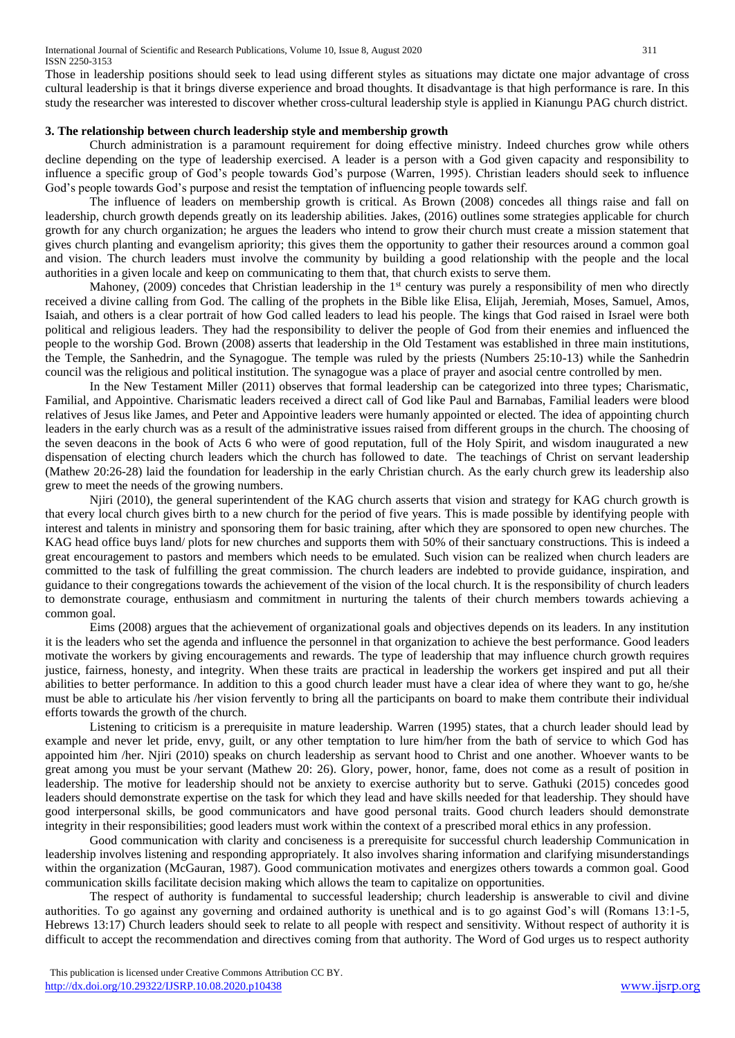Those in leadership positions should seek to lead using different styles as situations may dictate one major advantage of cross cultural leadership is that it brings diverse experience and broad thoughts. It disadvantage is that high performance is rare. In this study the researcher was interested to discover whether cross-cultural leadership style is applied in Kianungu PAG church district.

#### **3. The relationship between church leadership style and membership growth**

Church administration is a paramount requirement for doing effective ministry. Indeed churches grow while others decline depending on the type of leadership exercised. A leader is a person with a God given capacity and responsibility to influence a specific group of God's people towards God's purpose (Warren, 1995). Christian leaders should seek to influence God's people towards God's purpose and resist the temptation of influencing people towards self.

The influence of leaders on membership growth is critical. As Brown (2008) concedes all things raise and fall on leadership, church growth depends greatly on its leadership abilities. Jakes, (2016) outlines some strategies applicable for church growth for any church organization; he argues the leaders who intend to grow their church must create a mission statement that gives church planting and evangelism apriority; this gives them the opportunity to gather their resources around a common goal and vision. The church leaders must involve the community by building a good relationship with the people and the local authorities in a given locale and keep on communicating to them that, that church exists to serve them.

Mahoney, (2009) concedes that Christian leadership in the  $1<sup>st</sup>$  century was purely a responsibility of men who directly received a divine calling from God. The calling of the prophets in the Bible like Elisa, Elijah, Jeremiah, Moses, Samuel, Amos, Isaiah, and others is a clear portrait of how God called leaders to lead his people. The kings that God raised in Israel were both political and religious leaders. They had the responsibility to deliver the people of God from their enemies and influenced the people to the worship God. Brown (2008) asserts that leadership in the Old Testament was established in three main institutions, the Temple, the Sanhedrin, and the Synagogue. The temple was ruled by the priests (Numbers 25:10-13) while the Sanhedrin council was the religious and political institution. The synagogue was a place of prayer and asocial centre controlled by men.

In the New Testament Miller (2011) observes that formal leadership can be categorized into three types; Charismatic, Familial, and Appointive. Charismatic leaders received a direct call of God like Paul and Barnabas, Familial leaders were blood relatives of Jesus like James, and Peter and Appointive leaders were humanly appointed or elected. The idea of appointing church leaders in the early church was as a result of the administrative issues raised from different groups in the church. The choosing of the seven deacons in the book of Acts 6 who were of good reputation, full of the Holy Spirit, and wisdom inaugurated a new dispensation of electing church leaders which the church has followed to date. The teachings of Christ on servant leadership (Mathew 20:26-28) laid the foundation for leadership in the early Christian church. As the early church grew its leadership also grew to meet the needs of the growing numbers.

Njiri (2010), the general superintendent of the KAG church asserts that vision and strategy for KAG church growth is that every local church gives birth to a new church for the period of five years. This is made possible by identifying people with interest and talents in ministry and sponsoring them for basic training, after which they are sponsored to open new churches. The KAG head office buys land/ plots for new churches and supports them with 50% of their sanctuary constructions. This is indeed a great encouragement to pastors and members which needs to be emulated. Such vision can be realized when church leaders are committed to the task of fulfilling the great commission. The church leaders are indebted to provide guidance, inspiration, and guidance to their congregations towards the achievement of the vision of the local church. It is the responsibility of church leaders to demonstrate courage, enthusiasm and commitment in nurturing the talents of their church members towards achieving a common goal.

Eims (2008) argues that the achievement of organizational goals and objectives depends on its leaders. In any institution it is the leaders who set the agenda and influence the personnel in that organization to achieve the best performance. Good leaders motivate the workers by giving encouragements and rewards. The type of leadership that may influence church growth requires justice, fairness, honesty, and integrity. When these traits are practical in leadership the workers get inspired and put all their abilities to better performance. In addition to this a good church leader must have a clear idea of where they want to go, he/she must be able to articulate his /her vision fervently to bring all the participants on board to make them contribute their individual efforts towards the growth of the church.

Listening to criticism is a prerequisite in mature leadership. Warren (1995) states, that a church leader should lead by example and never let pride, envy, guilt, or any other temptation to lure him/her from the bath of service to which God has appointed him /her. Njiri (2010) speaks on church leadership as servant hood to Christ and one another. Whoever wants to be great among you must be your servant (Mathew 20: 26). Glory, power, honor, fame, does not come as a result of position in leadership. The motive for leadership should not be anxiety to exercise authority but to serve. Gathuki (2015) concedes good leaders should demonstrate expertise on the task for which they lead and have skills needed for that leadership. They should have good interpersonal skills, be good communicators and have good personal traits. Good church leaders should demonstrate integrity in their responsibilities; good leaders must work within the context of a prescribed moral ethics in any profession.

Good communication with clarity and conciseness is a prerequisite for successful church leadership Communication in leadership involves listening and responding appropriately. It also involves sharing information and clarifying misunderstandings within the organization (McGauran, 1987). Good communication motivates and energizes others towards a common goal. Good communication skills facilitate decision making which allows the team to capitalize on opportunities.

The respect of authority is fundamental to successful leadership; church leadership is answerable to civil and divine authorities. To go against any governing and ordained authority is unethical and is to go against God's will (Romans 13:1-5, Hebrews 13:17) Church leaders should seek to relate to all people with respect and sensitivity. Without respect of authority it is difficult to accept the recommendation and directives coming from that authority. The Word of God urges us to respect authority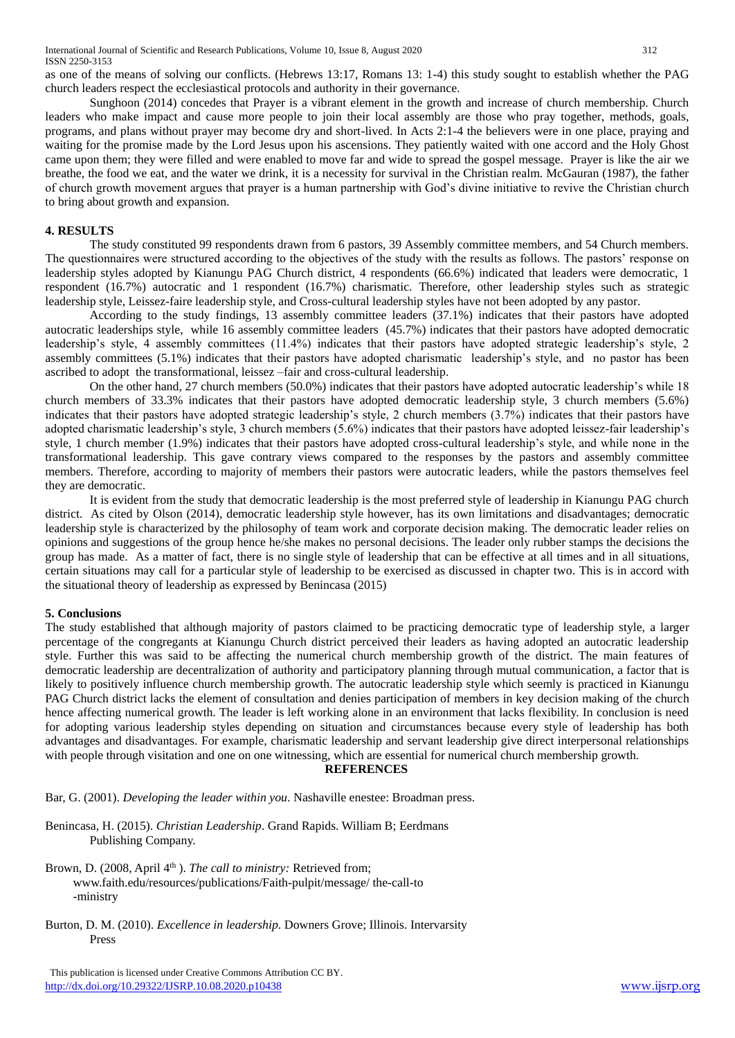as one of the means of solving our conflicts. (Hebrews 13:17, Romans 13: 1-4) this study sought to establish whether the PAG church leaders respect the ecclesiastical protocols and authority in their governance.

Sunghoon (2014) concedes that Prayer is a vibrant element in the growth and increase of church membership. Church leaders who make impact and cause more people to join their local assembly are those who pray together, methods, goals, programs, and plans without prayer may become dry and short-lived. In Acts 2:1-4 the believers were in one place, praying and waiting for the promise made by the Lord Jesus upon his ascensions. They patiently waited with one accord and the Holy Ghost came upon them; they were filled and were enabled to move far and wide to spread the gospel message. Prayer is like the air we breathe, the food we eat, and the water we drink, it is a necessity for survival in the Christian realm. McGauran (1987), the father of church growth movement argues that prayer is a human partnership with God's divine initiative to revive the Christian church to bring about growth and expansion.

#### **4. RESULTS**

The study constituted 99 respondents drawn from 6 pastors, 39 Assembly committee members, and 54 Church members. The questionnaires were structured according to the objectives of the study with the results as follows. The pastors' response on leadership styles adopted by Kianungu PAG Church district, 4 respondents (66.6%) indicated that leaders were democratic, 1 respondent (16.7%) autocratic and 1 respondent (16.7%) charismatic. Therefore, other leadership styles such as strategic leadership style, Leissez-faire leadership style, and Cross-cultural leadership styles have not been adopted by any pastor.

According to the study findings, 13 assembly committee leaders (37.1%) indicates that their pastors have adopted autocratic leaderships style, while 16 assembly committee leaders (45.7%) indicates that their pastors have adopted democratic leadership's style, 4 assembly committees (11.4%) indicates that their pastors have adopted strategic leadership's style, 2 assembly committees (5.1%) indicates that their pastors have adopted charismatic leadership's style, and no pastor has been ascribed to adopt the transformational, leissez –fair and cross-cultural leadership.

On the other hand, 27 church members (50.0%) indicates that their pastors have adopted autocratic leadership's while 18 church members of 33.3% indicates that their pastors have adopted democratic leadership style, 3 church members (5.6%) indicates that their pastors have adopted strategic leadership's style, 2 church members (3.7%) indicates that their pastors have adopted charismatic leadership's style, 3 church members (5.6%) indicates that their pastors have adopted leissez-fair leadership's style, 1 church member (1.9%) indicates that their pastors have adopted cross-cultural leadership's style, and while none in the transformational leadership. This gave contrary views compared to the responses by the pastors and assembly committee members. Therefore, according to majority of members their pastors were autocratic leaders, while the pastors themselves feel they are democratic.

It is evident from the study that democratic leadership is the most preferred style of leadership in Kianungu PAG church district. As cited by Olson (2014), democratic leadership style however, has its own limitations and disadvantages; democratic leadership style is characterized by the philosophy of team work and corporate decision making. The democratic leader relies on opinions and suggestions of the group hence he/she makes no personal decisions. The leader only rubber stamps the decisions the group has made. As a matter of fact, there is no single style of leadership that can be effective at all times and in all situations, certain situations may call for a particular style of leadership to be exercised as discussed in chapter two. This is in accord with the situational theory of leadership as expressed by Benincasa (2015)

#### **5. Conclusions**

The study established that although majority of pastors claimed to be practicing democratic type of leadership style, a larger percentage of the congregants at Kianungu Church district perceived their leaders as having adopted an autocratic leadership style. Further this was said to be affecting the numerical church membership growth of the district. The main features of democratic leadership are decentralization of authority and participatory planning through mutual communication, a factor that is likely to positively influence church membership growth. The autocratic leadership style which seemly is practiced in Kianungu PAG Church district lacks the element of consultation and denies participation of members in key decision making of the church hence affecting numerical growth. The leader is left working alone in an environment that lacks flexibility. In conclusion is need for adopting various leadership styles depending on situation and circumstances because every style of leadership has both advantages and disadvantages. For example, charismatic leadership and servant leadership give direct interpersonal relationships with people through visitation and one on one witnessing, which are essential for numerical church membership growth.

#### **REFERENCES**

Bar, G. (2001). *Developing the leader within you*. Nashaville enestee: Broadman press.

Benincasa, H. (2015). *Christian Leadership*. Grand Rapids. William B; Eerdmans Publishing Company.

Brown, D. (2008, April 4<sup>th</sup>). *The call to ministry:* Retrieved from; www.faith.edu/resources/publications/Faith-pulpit/message/ the-call-to -ministry

Burton, D. M. (2010). *Excellence in leadership*. Downers Grove; Illinois. Intervarsity Press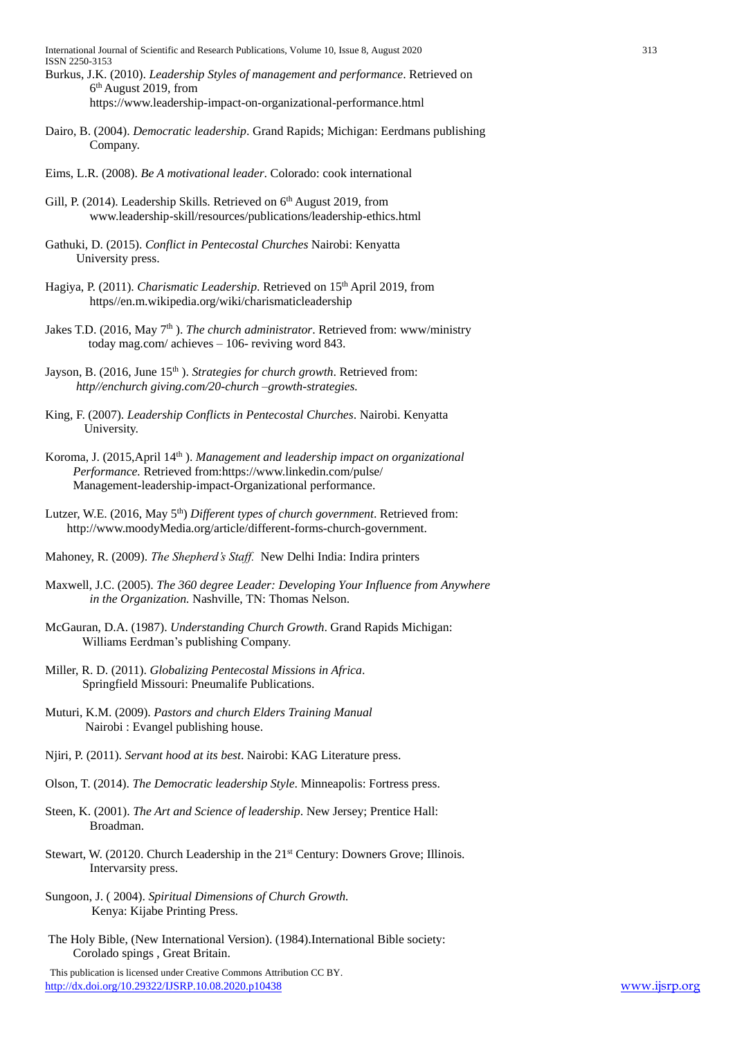International Journal of Scientific and Research Publications, Volume 10, Issue 8, August 2020 313 ISSN 2250-3153

- Burkus, J.K. (2010). *Leadership Styles of management and performance*. Retrieved on 6 th August 2019, from https://www.leadership-impact-on-organizational-performance.html
- Dairo, B. (2004). *Democratic leadership*. Grand Rapids; Michigan: Eerdmans publishing Company.
- Eims, L.R. (2008). *Be A motivational leader*. Colorado: cook international
- Gill, P. (2014). Leadership Skills. Retrieved on 6<sup>th</sup> August 2019, from www.leadership-skill/resources/publications/leadership-ethics.html
- Gathuki, D. (2015). *Conflict in Pentecostal Churches* Nairobi: Kenyatta University press.
- Hagiya, P. (2011). *Charismatic Leadership*. Retrieved on 15<sup>th</sup> April 2019, from https//en.m.wikipedia.org/wiki/charismaticleadership
- Jakes T.D. (2016, May 7<sup>th</sup>). *The church administrator*. Retrieved from: www/ministry today mag.com/ achieves – 106- reviving word 843.
- Jayson, B. (2016, June 15<sup>th</sup>). *Strategies for church growth*. Retrieved from: *http//enchurch giving.com/20-church –growth-strategies.*
- King, F. (2007). *Leadership Conflicts in Pentecostal Churches*. Nairobi. Kenyatta University.
- Koroma, J. (2015, April 14<sup>th</sup>). *Management and leadership impact on organizational Performance.* Retrieved from:https://www.linkedin.com/pulse/ Management-leadership-impact-Organizational performance.
- Lutzer, W.E. (2016, May 5<sup>th</sup>) *Different types of church government*. Retrieved from: [http://www.moodyM](http://www.moody/)edia.org/article/different-forms-church-government.
- Mahoney, R. (2009). *The Shepherd's Staff.* New Delhi India: Indira printers
- Maxwell, J.C. (2005). *The 360 degree Leader: Developing Your Influence from Anywhere in the Organization.* Nashville, TN: Thomas Nelson.
- McGauran, D.A. (1987). *Understanding Church Growth*. Grand Rapids Michigan: Williams Eerdman's publishing Company.
- Miller, R. D. (2011). *Globalizing Pentecostal Missions in Africa*. Springfield Missouri: Pneumalife Publications.
- Muturi, K.M. (2009). *Pastors and church Elders Training Manual* Nairobi : Evangel publishing house.
- Njiri, P. (2011). *Servant hood at its best*. Nairobi: KAG Literature press.
- Olson, T. (2014). *The Democratic leadership Style*. Minneapolis: Fortress press.
- Steen, K. (2001). *The Art and Science of leadership*. New Jersey; Prentice Hall: Broadman.
- Stewart, W. (20120. Church Leadership in the 21<sup>st</sup> Century: Downers Grove; Illinois. Intervarsity press.
- Sungoon, J. ( 2004). *Spiritual Dimensions of Church Growth.* Kenya: Kijabe Printing Press.
- The Holy Bible, (New International Version). (1984).International Bible society: Corolado spings , Great Britain.

This publication is licensed under Creative Commons Attribution CC BY. <http://dx.doi.org/10.29322/IJSRP.10.08.2020.p10438> [www.ijsrp.org](http://ijsrp.org/)